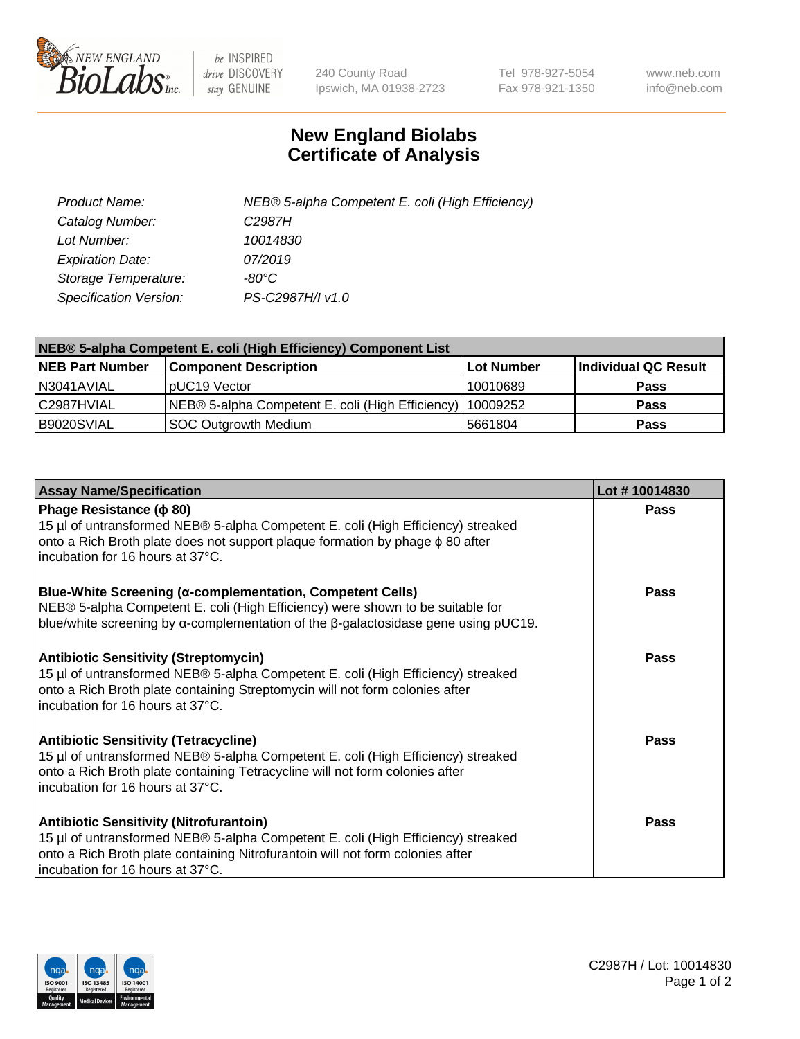

 $be$  INSPIRED drive DISCOVERY stay GENUINE

240 County Road Ipswich, MA 01938-2723 Tel 978-927-5054 Fax 978-921-1350 www.neb.com info@neb.com

## **New England Biolabs Certificate of Analysis**

| Product Name:           | NEB® 5-alpha Competent E. coli (High Efficiency) |
|-------------------------|--------------------------------------------------|
| Catalog Number:         | C <sub>2987</sub> H                              |
| Lot Number:             | 10014830                                         |
| <b>Expiration Date:</b> | 07/2019                                          |
| Storage Temperature:    | -80°C                                            |
| Specification Version:  | PS-C2987H/I v1.0                                 |

| NEB® 5-alpha Competent E. coli (High Efficiency) Component List |                                                  |            |                      |  |
|-----------------------------------------------------------------|--------------------------------------------------|------------|----------------------|--|
| <b>NEB Part Number</b>                                          | <b>Component Description</b>                     | Lot Number | Individual QC Result |  |
| N3041AVIAL                                                      | pUC19 Vector                                     | 10010689   | <b>Pass</b>          |  |
| C2987HVIAL                                                      | NEB® 5-alpha Competent E. coli (High Efficiency) | 10009252   | <b>Pass</b>          |  |
| B9020SVIAL                                                      | <b>SOC Outgrowth Medium</b>                      | 5661804    | <b>Pass</b>          |  |

| <b>Assay Name/Specification</b>                                                                                                                                                                                                                          | Lot #10014830 |
|----------------------------------------------------------------------------------------------------------------------------------------------------------------------------------------------------------------------------------------------------------|---------------|
| Phage Resistance ( $\phi$ 80)<br>15 µl of untransformed NEB® 5-alpha Competent E. coli (High Efficiency) streaked<br>onto a Rich Broth plate does not support plaque formation by phage $\phi$ 80 after<br>incubation for 16 hours at 37°C.              | Pass          |
| <b>Blue-White Screening (α-complementation, Competent Cells)</b><br>NEB® 5-alpha Competent E. coli (High Efficiency) were shown to be suitable for<br>blue/white screening by $\alpha$ -complementation of the $\beta$ -galactosidase gene using pUC19.  | Pass          |
| <b>Antibiotic Sensitivity (Streptomycin)</b><br>15 µl of untransformed NEB® 5-alpha Competent E. coli (High Efficiency) streaked<br>onto a Rich Broth plate containing Streptomycin will not form colonies after<br>incubation for 16 hours at 37°C.     | <b>Pass</b>   |
| <b>Antibiotic Sensitivity (Tetracycline)</b><br>15 µl of untransformed NEB® 5-alpha Competent E. coli (High Efficiency) streaked<br>onto a Rich Broth plate containing Tetracycline will not form colonies after<br>incubation for 16 hours at 37°C.     | Pass          |
| <b>Antibiotic Sensitivity (Nitrofurantoin)</b><br>15 µl of untransformed NEB® 5-alpha Competent E. coli (High Efficiency) streaked<br>onto a Rich Broth plate containing Nitrofurantoin will not form colonies after<br>incubation for 16 hours at 37°C. | Pass          |